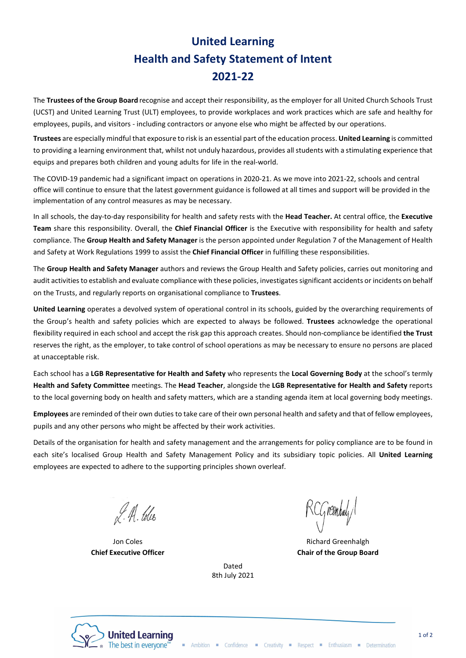## United Learning Health and Safety Statement of Intent 2021-22

The Trustees of the Group Board recognise and accept their responsibility, as the employer for all United Church Schools Trust (UCST) and United Learning Trust (ULT) employees, to provide workplaces and work practices which are safe and healthy for employees, pupils, and visitors - including contractors or anyone else who might be affected by our operations.

Trustees are especially mindful that exposure to risk is an essential part of the education process. United Learning is committed to providing a learning environment that, whilst not unduly hazardous, provides all students with a stimulating experience that equips and prepares both children and young adults for life in the real-world.

The COVID-19 pandemic had a significant impact on operations in 2020-21. As we move into 2021-22, schools and central office will continue to ensure that the latest government guidance is followed at all times and support will be provided in the implementation of any control measures as may be necessary.

In all schools, the day-to-day responsibility for health and safety rests with the Head Teacher. At central office, the Executive Team share this responsibility. Overall, the Chief Financial Officer is the Executive with responsibility for health and safety compliance. The Group Health and Safety Manager is the person appointed under Regulation 7 of the Management of Health and Safety at Work Regulations 1999 to assist the Chief Financial Officer in fulfilling these responsibilities.

The Group Health and Safety Manager authors and reviews the Group Health and Safety policies, carries out monitoring and audit activities to establish and evaluate compliance with these policies, investigates significant accidents or incidents on behalf on the Trusts, and regularly reports on organisational compliance to Trustees.

United Learning operates a devolved system of operational control in its schools, guided by the overarching requirements of the Group's health and safety policies which are expected to always be followed. Trustees acknowledge the operational flexibility required in each school and accept the risk gap this approach creates. Should non-compliance be identified the Trust reserves the right, as the employer, to take control of school operations as may be necessary to ensure no persons are placed at unacceptable risk.

Each school has a LGB Representative for Health and Safety who represents the Local Governing Body at the school's termly Health and Safety Committee meetings. The Head Teacher, alongside the LGB Representative for Health and Safety reports to the local governing body on health and safety matters, which are a standing agenda item at local governing body meetings.

Employees are reminded of their own duties to take care of their own personal health and safety and that of fellow employees, pupils and any other persons who might be affected by their work activities.

Details of the organisation for health and safety management and the arrangements for policy compliance are to be found in each site's localised Group Health and Safety Management Policy and its subsidiary topic policies. All United Learning employees are expected to adhere to the supporting principles shown overleaf.

> Dated 8th July 2021

L. A. Coles

Jon Coles Chief Executive Officer

CG reenhaly

Richard Greenhalgh Chair of the Group Board



Ambition Confidence Creativity Respect Enthusiasm Determination